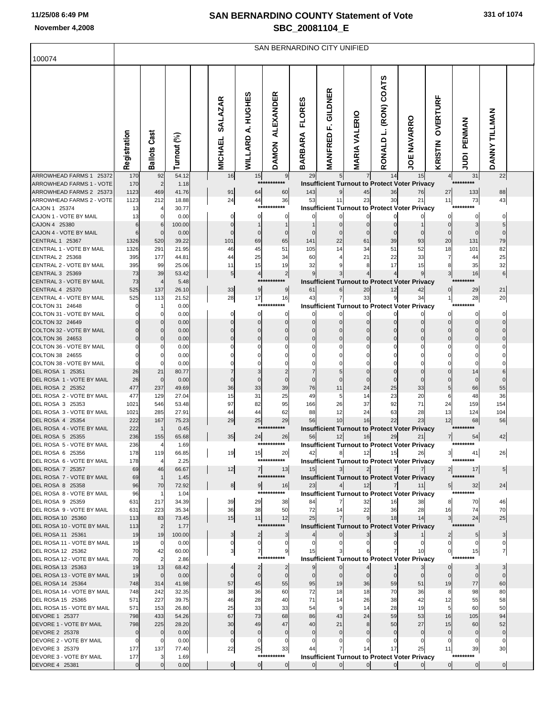| 331 of 1074 |  |  |  |
|-------------|--|--|--|
|-------------|--|--|--|

| 100074                                              |              | SAN BERNARDINO CITY UNIFIED |                |  |                                  |                             |                                  |                                 |                                 |                         |                            |                                                            |                     |                      |                   |  |
|-----------------------------------------------------|--------------|-----------------------------|----------------|--|----------------------------------|-----------------------------|----------------------------------|---------------------------------|---------------------------------|-------------------------|----------------------------|------------------------------------------------------------|---------------------|----------------------|-------------------|--|
|                                                     |              |                             |                |  |                                  |                             |                                  |                                 |                                 |                         |                            |                                                            |                     |                      |                   |  |
|                                                     | Registration | Cast<br><b>Ballots</b>      | Turnout (%)    |  | <b>SALAZAR</b><br><b>MICHAEL</b> | A. HUGHES<br><b>WILLARD</b> | <b>ALEXANDER</b><br><b>DAMON</b> | <b>FLORES</b><br><b>BARBARA</b> | GILDNER<br>Ē.<br><b>MANFRED</b> | VALERIO<br><b>MARIA</b> | (RON) COATS<br>Ľ<br>RONALD | <b>JOE NAVARRO</b>                                         | OVERTURF<br>KRISTIN | PENMAN<br>ig         | DANNY TILLMAN     |  |
| ARROWHEAD FARMS 1 25372                             | 170          | 92                          | 54.12          |  | 16                               | 15<br>***                   | 9<br>******                      | 29                              |                                 |                         | 14                         | 15                                                         | 4                   | 31<br>*********      | 22                |  |
| ARROWHEAD FARMS 1 - VOTE<br>ARROWHEAD FARMS 2 25373 | 170<br>1123  | $\overline{c}$<br>469       | 1.18<br>41.76  |  | 91                               | 64                          | 60                               | 143                             |                                 | 45                      | 36                         | <b>Insufficient Turnout to Protect Voter Privacy</b><br>76 | 27                  | 133                  | 88                |  |
| ARROWHEAD FARMS 2 - VOTE                            | 1123         | 212                         | 18.88          |  | 24                               | 44                          | 36                               | 53                              | 11                              | 23                      | 30                         | 21                                                         | 11                  | 73                   | 43                |  |
| CAJON 1 25374                                       | 13           | 4                           | 30.77          |  |                                  |                             | ***********                      |                                 |                                 |                         |                            | <b>Insufficient Turnout to Protect Voter Privacy</b>       |                     | *********            |                   |  |
| CAJON 1 - VOTE BY MAIL<br>CAJON 4 25380             | 13           | $\Omega$<br>6               | 0.00<br>100.00 |  | 0                                | $\Omega$                    |                                  |                                 |                                 |                         |                            |                                                            |                     |                      | 0<br>5            |  |
| CAJON 4 - VOTE BY MAIL                              |              | $\mathbf{0}$                | 0.00           |  |                                  |                             |                                  |                                 |                                 |                         |                            |                                                            |                     |                      | $\Omega$          |  |
| <b>CENTRAL 1 25367</b>                              | 1326         | 520                         | 39.22          |  | 101                              | 69                          | 65                               | 141                             | 22                              | 61                      | 39                         | 93                                                         | 20                  | 131                  | 79                |  |
| CENTRAL 1 - VOTE BY MAIL                            | 1326         | 291                         | 21.95          |  | 46                               | 45                          | 51                               | 105                             | 14                              | 34                      | 51                         | 52                                                         | 18                  | 101                  | 82                |  |
| CENTRAL 2 25368<br>CENTRAL 2 - VOTE BY MAIL         | 395<br>395   | 177<br>99                   | 44.81<br>25.06 |  | 44<br>11                         | 25<br>15                    | 34<br>19                         | 60<br>32                        |                                 | 21                      | 22<br>17                   | 33<br>15                                                   | 8                   | 44<br>35             | 25<br>32          |  |
| CENTRAL 3 25369                                     | 73           | 39                          | 53.42          |  | $5\overline{)}$                  | $\overline{4}$              | $\overline{2}$                   |                                 |                                 |                         |                            |                                                            | 3                   | 16                   | 6                 |  |
| CENTRAL 3 - VOTE BY MAIL                            | 73           | $\overline{4}$              | 5.48           |  |                                  |                             | ***********                      |                                 |                                 |                         |                            | <b>Insufficient Turnout to Protect Voter Privacy</b>       |                     | *********            |                   |  |
| <b>CENTRAL 4 25370</b>                              | 525          | 137                         | 26.10          |  | 33                               | 9                           | 9                                | 61                              | 6                               | 20                      | 12                         | 42                                                         |                     | 29                   | 21                |  |
| CENTRAL 4 - VOTE BY MAIL<br>COLTON 31 24648         | 525          | 113<br>1                    | 21.52          |  | 28                               | 17                          | 16<br>***********                | 43                              |                                 | 33                      | 9                          | 34                                                         |                     | 28<br>*********      | 20                |  |
| COLTON 31 - VOTE BY MAIL                            |              | $\Omega$                    | 0.00<br>0.00   |  | $\mathbf{0}$                     | $\mathbf{0}$                | $\mathbf 0$                      | O                               | U                               |                         |                            | <b>Insufficient Turnout to Protect Voter Privacy</b>       |                     | 0                    | $\mathbf 0$       |  |
| COLTON 32 24649                                     |              | 0                           | 0.00           |  |                                  |                             | $\Omega$                         |                                 |                                 |                         |                            |                                                            |                     | $\Omega$             | $\Omega$          |  |
| COLTON 32 - VOTE BY MAIL                            |              | $\Omega$                    | 0.00           |  |                                  |                             |                                  |                                 |                                 |                         |                            |                                                            |                     | $\Omega$             | $\Omega$          |  |
| COLTON 36 24653                                     |              | 0<br>$\Omega$               | 0.00           |  |                                  |                             |                                  |                                 |                                 |                         |                            |                                                            |                     |                      | $\Omega$<br>0     |  |
| COLTON 36 - VOTE BY MAIL<br>COLTON 38 24655         |              | 0                           | 0.00<br>0.00   |  |                                  |                             |                                  |                                 |                                 |                         |                            |                                                            |                     |                      |                   |  |
| COLTON 38 - VOTE BY MAIL                            |              | $\Omega$                    | 0.00           |  |                                  |                             |                                  |                                 |                                 |                         |                            |                                                            |                     |                      |                   |  |
| DEL ROSA 1 25351                                    | 26           | 21                          | 80.77          |  |                                  |                             |                                  |                                 |                                 |                         |                            |                                                            |                     | 14                   | 6                 |  |
| DEL ROSA 1 - VOTE BY MAIL                           | 26           | $\mathbf 0$                 | 0.00           |  |                                  |                             |                                  |                                 |                                 |                         |                            |                                                            |                     |                      |                   |  |
| DEL ROSA 2 25352<br>DEL ROSA 2 - VOTE BY MAIL       | 477<br>477   | 237<br>129                  | 49.69<br>27.04 |  | 36<br>15                         | 33<br>31                    | 39<br>25                         | 76<br>49                        | 11<br>5                         | 24<br>14                | 25<br>23                   | 33<br>20                                                   | 6                   | 66<br>48             | 55<br>36          |  |
| DEL ROSA 3 25353                                    | 1021         | 546                         | 53.48          |  | 97                               | 82                          | 95                               | 166                             | 26                              | 37                      | 92                         | 71                                                         | 24                  | 159                  | 154               |  |
| DEL ROSA 3 - VOTE BY MAIL                           | 1021         | 285                         | 27.91          |  | 44                               | 44                          | 62                               | 88                              | 12                              | 24                      | 63                         | 28                                                         | 13                  | 124                  | 104               |  |
| DEL ROSA 4 25354                                    | 222<br>222   | 167<br>$\mathbf{1}$         | 75.23          |  | 29                               | 25                          | 29<br>***********                | 56                              | 10                              | 16                      | 22                         | 23                                                         | 12                  | 68<br>*********      | 56                |  |
| DEL ROSA 4 - VOTE BY MAIL<br>DEL ROSA 5 25355       | 236          | 155                         | 0.45<br>65.68  |  | 35                               | 24                          | 26                               | 56                              | 12                              | 16                      | 29                         | <b>Insufficient Turnout to Protect Voter Privacy</b><br>21 |                     | 54                   | 42                |  |
| DEL ROSA 5 - VOTE BY MAIL                           | 236          | $\overline{4}$              | 1.69           |  |                                  |                             | ***********                      |                                 |                                 |                         |                            | <b>Insufficient Turnout to Protect Voter Privacy</b>       |                     | *********            |                   |  |
| DEL ROSA 6 25356                                    | 178          | 119                         | 66.85          |  | 19                               | 15                          | 20                               | 42                              |                                 | 12                      | 15                         | 26                                                         | 31                  | 41                   | 26                |  |
| DEL ROSA 6 - VOTE BY MAIL<br>DEL ROSA 7 25357       | 178<br>69    | $\overline{4}$<br>46        | 2.25<br>66.67  |  | 12                               | 7 <sup>1</sup>              | ***********<br>13                | 15                              | 3                               | $2 \vert$               | 7 <sup>1</sup>             | <b>Insufficient Turnout to Protect Voter Privacy</b>       |                     | *********<br>17      |                   |  |
| DEL ROSA 7 - VOTE BY MAIL                           | 69           | $\mathbf{1}$                | 1.45           |  |                                  |                             | ***********                      |                                 |                                 |                         |                            | <b>Insufficient Turnout to Protect Voter Privacy</b>       |                     | *********            | 5                 |  |
| DEL ROSA 8 25358                                    | 96           | 70                          | 72.92          |  | 8                                | 9                           | 16                               | 23                              |                                 | 12                      | $\overline{7}$             | 11 <sup>1</sup>                                            | $5 \mid$            | 32                   | 24                |  |
| DEL ROSA 8 - VOTE BY MAIL                           | 96           | $\mathbf{1}$                | 1.04           |  |                                  |                             | ***********                      |                                 |                                 |                         |                            | <b>Insufficient Turnout to Protect Voter Privacy</b>       |                     | **********           |                   |  |
| DEL ROSA 9 25359<br>DEL ROSA 9 - VOTE BY MAIL       | 631<br>631   | 217<br>223                  | 34.39<br>35.34 |  | 39<br>36                         | 29<br>38                    | 38<br>50                         | 84<br>72                        | $\overline{7}$<br>14            | 32<br>22                | 16<br>36                   | 38<br>28                                                   | 8<br>16             | 70<br>74             | 46<br>70          |  |
| DEL ROSA 10 25360                                   | 113          | 83                          | 73.45          |  | 15                               | 11                          | 12                               | 25                              |                                 |                         | 18                         | 14                                                         | 3 <sup>l</sup>      | 24                   | 25                |  |
| DEL ROSA 10 - VOTE BY MAIL                          | 113          | $\overline{2}$              | 1.77           |  |                                  |                             | ***********                      |                                 |                                 |                         |                            | <b>Insufficient Turnout to Protect Voter Privacy</b>       |                     | *********            |                   |  |
| DEL ROSA 11 25361                                   | 19           | 19                          | 100.00         |  | 3                                | 2                           |                                  |                                 |                                 |                         |                            |                                                            |                     |                      | 3                 |  |
| DEL ROSA 11 - VOTE BY MAIL<br>DEL ROSA 12 25362     | 19<br>70     | 0<br>42                     | 0.00<br>60.00  |  |                                  | 0<br>7                      | 0<br>9                           | 15                              |                                 |                         |                            | 10                                                         | 0<br>$\Omega$       | $\overline{0}$<br>15 | $\mathbf{0}$<br>7 |  |
| DEL ROSA 12 - VOTE BY MAIL                          | 70           | $\overline{2}$              | 2.86           |  |                                  |                             | ***********                      |                                 |                                 |                         |                            | <b>Insufficient Turnout to Protect Voter Privacy</b>       |                     | **********           |                   |  |
| DEL ROSA 13 25363                                   | 19           | 13                          | 68.42          |  |                                  | $\overline{2}$              | $\overline{2}$                   |                                 | $\overline{0}$                  |                         |                            |                                                            |                     |                      |                   |  |
| DEL ROSA 13 - VOTE BY MAIL                          | 19           | $\mathbf 0$                 | 0.00           |  |                                  | $\overline{0}$              | $\mathbf 0$                      | $\Omega$                        |                                 |                         |                            |                                                            |                     | 0                    |                   |  |
| DEL ROSA 14 25364<br>DEL ROSA 14 - VOTE BY MAIL     | 748<br>748   | 314<br>242                  | 41.98<br>32.35 |  | 57<br>38                         | 45<br>36                    | 55<br>60                         | 95<br>72                        | 19<br>18                        | 36<br>18                | 59<br>70                   | 51<br>36                                                   | 19<br>8             | 77<br>98             | 60<br>80          |  |
| DEL ROSA 15 25365                                   | 571          | 227                         | 39.75          |  | 46                               | 28                          | 40                               | 71                              | 14                              | 26                      | 38                         | 42                                                         | 12                  | 55                   | 58                |  |
| DEL ROSA 15 - VOTE BY MAIL                          | 571          | 153                         | 26.80          |  | 25                               | 33                          | 33                               | 54                              |                                 | 14                      | 28                         | 19                                                         | 5                   | 60                   | 50                |  |
| <b>DEVORE 1 25377</b>                               | 798          | 433                         | 54.26          |  | 67                               | 73                          | 68                               | 86                              | 43                              | 24                      | 59                         | 53                                                         | 16                  | 105                  | 94                |  |
| DEVORE 1 - VOTE BY MAIL<br>DEVORE 2 25378           | 798          | 225<br>$\mathbf 0$          | 28.20<br>0.00  |  | 30                               | 49                          | 47                               | 40                              | 21                              |                         | 50                         | 27                                                         | 15<br>$\mathbf 0$   | 60<br>$\mathbf 0$    | 52<br>$\mathbf 0$ |  |
| DEVORE 2 - VOTE BY MAIL                             |              | 0                           | 0.00           |  |                                  |                             |                                  |                                 |                                 |                         |                            |                                                            |                     | $\mathbf{0}$         | $\mathbf{0}$      |  |
| DEVORE 3 25379                                      | 177          | 137                         | 77.40          |  | 22                               | 25                          | 33                               |                                 |                                 |                         | 17                         | 25                                                         | 11                  | 39                   | 30                |  |
| DEVORE 3 - VOTE BY MAIL                             | 177          | 3                           | 1.69           |  |                                  |                             | ***********                      |                                 | $\mathbf{0}$                    |                         |                            | <b>Insufficient Turnout to Protect Voter Privacy</b>       |                     | *********            |                   |  |
| DEVORE 4 25381                                      | $\Omega$     | $\mathbf 0$                 | 0.00           |  | $\overline{0}$                   | $\overline{0}$              | $\overline{0}$                   |                                 |                                 | $\overline{0}$          | $\overline{0}$             |                                                            | $\overline{0}$      | $\overline{0}$       | $\overline{0}$    |  |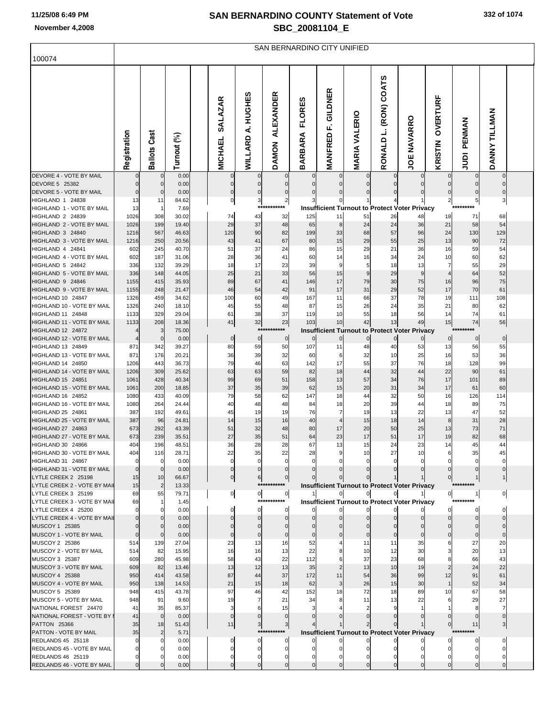SAN BERNARDINO CITY UNIFIED

| 100074                                              |                      |                        |                |                                  |                      |                                  |                                 |                                 |                            |                                                                     |                    |                      |                             |                         |  |
|-----------------------------------------------------|----------------------|------------------------|----------------|----------------------------------|----------------------|----------------------------------|---------------------------------|---------------------------------|----------------------------|---------------------------------------------------------------------|--------------------|----------------------|-----------------------------|-------------------------|--|
|                                                     | Registration         | Cast<br><b>Ballots</b> | Turnout (%)    | <b>SALAZAR</b><br><b>MICHAEL</b> | A. HUGHES<br>WILLARD | <b>ALEXANDER</b><br><b>DAMON</b> | <b>FLORES</b><br><b>BARBARA</b> | GILDNER<br>цj<br><b>MANFRED</b> | <b>MARIA VALERIO</b>       | RONALD L. (RON) COATS                                               | <b>JOE NAVARRO</b> | OVERTURF<br>KRISTIN  | PENMAN<br><b>AUDI</b>       | DANNY TILLMAN           |  |
| DEVORE 4 - VOTE BY MAIL                             |                      | $\mathbf 0$            | 0.00           | 0                                | $\Omega$             | $\mathbf 0$                      | 0                               | 0                               | 0                          | 0                                                                   | 0                  | 0                    | 0                           | $\overline{0}$          |  |
| DEVORE 5 25382<br>DEVORE 5 - VOTE BY MAIL           | $\Omega$<br>$\Omega$ | $\mathbf 0$<br>0       | 0.00<br>0.00   | 0<br>0                           |                      | 0<br>0                           | 0<br>0                          | $\mathbf 0$<br>0                | $\mathbf 0$<br>$\mathbf 0$ | $\Omega$<br>$\Omega$                                                | $\mathbf 0$<br>0   | $\Omega$             | $\mathbf{0}$<br>$\mathbf 0$ |                         |  |
| HIGHLAND 1 24838                                    | 13                   | 11                     | 84.62          | 이                                | 3                    | $\mathbf{2}$                     | 3                               | 0                               | 1                          |                                                                     |                    | 2                    | $5 \mid$                    | $\overline{\mathbf{3}}$ |  |
| HIGHLAND 1 - VOTE BY MAIL                           | 13                   |                        | 7.69           |                                  | ****                 | *******                          |                                 |                                 |                            | <b>Insufficient Turnout to Protect Voter Privacy</b>                |                    |                      | *********                   |                         |  |
| HIGHLAND 2 24839                                    | 1026                 | 308                    | 30.02          | 74                               | 43                   | 32                               | 125                             | 11                              | 51                         | 26                                                                  | 48                 | 18                   | 71                          | 68                      |  |
| HIGHLAND 2 - VOTE BY MAIL<br>HIGHLAND 3 24840       | 1026<br>1216         | 199<br>567             | 19.40<br>46.63 | 29<br>120                        | 37<br>90             | 48<br>82                         | 65<br>199                       | 8<br>33                         | 24<br>68                   | 24<br>57                                                            | 36<br>96           | 21<br>24             | 58<br>130                   | 54<br>129               |  |
| HIGHLAND 3 - VOTE BY MAIL                           | 1216                 | 250                    | 20.56          | 43                               | 41                   | 67                               | 80                              | 15                              | 29                         | 55                                                                  | 25                 | 13                   | 90                          | 72                      |  |
| HIGHLAND 4 24841                                    | 602                  | 245                    | 40.70          | 51                               | 37                   | 24                               | 86                              | 15                              | 29                         | 21                                                                  | 36                 | 16                   | 59                          | 54                      |  |
| HIGHLAND 4 - VOTE BY MAIL                           | 602                  | 187                    | 31.06          | 28                               | 36                   | 41                               | 60                              | 14                              | 16                         | 34                                                                  | 24                 | 10                   | 60                          | 62                      |  |
| HIGHLAND 5 24842                                    | 336                  | 132                    | 39.29          | 18                               | 17                   | 23                               | 39                              | 9                               | 5                          | 18                                                                  | 13                 | 7                    | 55                          | 29                      |  |
| HIGHLAND 5 - VOTE BY MAIL<br>HIGHLAND 9 24846       | 336                  | 148                    | 44.05          | 25                               | 21<br>67             | 33<br>41                         | 56                              | 15<br>17                        | 9<br>79                    | 29<br>30                                                            | 9<br>75            | $\overline{4}$<br>16 | 64<br>96                    | 52<br>75                |  |
| HIGHLAND 9 - VOTE BY MAIL                           | 1155<br>1155         | 415<br>248             | 35.93<br>21.47 | 89<br>46                         | 54                   | 42                               | 146<br>91                       | 17                              | 31                         | 29                                                                  | 52                 | 17                   | 70                          | 61                      |  |
| HIGHLAND 10 24847                                   | 1326                 | 459                    | 34.62          | 100                              | 60                   | 49                               | 167                             | 11                              | 66                         | 37                                                                  | 78                 | 19                   | 111                         | 108                     |  |
| HIGHLAND 10 - VOTE BY MAIL                          | 1326                 | 240                    | 18.10          | 45                               | 55                   | 48                               | 87                              | 15                              | 26                         | 24                                                                  | 35                 | 21                   | 80                          | 62                      |  |
| HIGHLAND 11 24848                                   | 1133                 | 329                    | 29.04          | 61                               | 38                   | 37                               | 119                             | 10                              | 55                         | 18                                                                  | 56                 | 14                   | 74                          | 61                      |  |
| HIGHLAND 11 - VOTE BY MAIL                          | 1133                 | 208                    | 18.36          | 41                               | 32                   | 23<br>***********                | 103                             | 10                              | 42                         | 13                                                                  | 49                 | 15                   | 74<br>*********             | 56                      |  |
| HIGHLAND 12 24872<br>HIGHLAND 12 - VOTE BY MAIL     |                      | 3<br>$\Omega$          | 75.00<br>0.00  | $\mathbf 0$                      | $\mathbf 0$          | $\mathbf 0$                      | 0                               | $\mathbf 0$                     | 0                          | <b>Insufficient Turnout to Protect Voter Privacy</b><br>$\mathbf 0$ |                    | $\overline{0}$       | $\overline{0}$              | $\overline{0}$          |  |
| HIGHLAND 13 24849                                   | 871                  | 342                    | 39.27          | 80                               | 59                   | 50                               | 107                             | 11                              | 48                         | 40                                                                  | 53                 | 13                   | 56                          | 55                      |  |
| HIGHLAND 13 - VOTE BY MAIL                          | 871                  | 176                    | 20.21          | 36                               | 39                   | 32                               | 60                              | 6                               | 32                         | 10                                                                  | 25                 | 16                   | 53                          | 36                      |  |
| HIGHLAND 14 24850                                   | 1206                 | 443                    | 36.73          | 79                               | 46                   | 63                               | 142                             | 17                              | 55                         | 37                                                                  | 76                 | 18                   | 128                         | 99                      |  |
| HIGHLAND 14 - VOTE BY MAIL                          | 1206                 | 309                    | 25.62          | 63                               | 63                   | 59                               | 82                              | 18                              | 44                         | 32                                                                  | 44                 | 22                   | 90                          | 61                      |  |
| HIGHLAND 15 24851<br>HIGHLAND 15 - VOTE BY MAIL     | 1061<br>1061         | 428<br>200             | 40.34<br>18.85 | 99<br>37                         | 69<br>35             | 51<br>39                         | 158<br>62                       | 13<br>15                        | 57<br>20                   | 34<br>31                                                            | 76<br>34           | 17<br>17             | 101<br>61                   | 89<br>60                |  |
| HIGHLAND 16 24852                                   | 1080                 | 433                    | 40.09          | 79                               | 58                   | 62                               | 147                             | 18                              | 44                         | 32                                                                  | 50                 | 16                   | 126                         | 114                     |  |
| HIGHLAND 16 - VOTE BY MAIL                          | 1080                 | 264                    | 24.44          | 40                               | 48                   | 48                               | 84                              | 18                              | 20                         | 39                                                                  | 44                 | 18                   | 89                          | 75                      |  |
| HIGHLAND 25 24861                                   | 387                  | 192                    | 49.61          | 45                               | 19                   | 19                               | 76                              | 7                               | 19                         | 13                                                                  | 22                 | 13                   | 47                          | 52                      |  |
| HIGHLAND 25 - VOTE BY MAIL                          | 387                  | 96                     | 24.81          | 14                               | 15                   | 16                               | 40                              | 4                               | 15                         | 18                                                                  | 14                 | 8                    | 31                          | 28                      |  |
| HIGHLAND 27 24863<br>HIGHLAND 27 - VOTE BY MAIL     | 673<br>673           | 292<br>239             | 43.39<br>35.51 | 51<br>27                         | 32<br>35             | 48<br>51                         | 80<br>64                        | 17<br>23                        | 20<br>17                   | 50<br>51                                                            | 25<br>17           | 13<br>19             | 73<br>82                    | 71<br>68                |  |
| HIGHLAND 30 24866                                   | 404                  | 196                    | 48.51          | 36                               | 28                   | 28                               | 67                              | 13                              | 15                         | 24                                                                  | 23                 | 14                   | 45                          | 44                      |  |
| HIGHLAND 30 - VOTE BY MAIL                          | 404                  | 116                    | 28.71          | 22                               | 35                   | 22                               | 28                              | 9                               | 10                         | 27                                                                  | 10                 | 6                    | 35                          | 45                      |  |
| HIGHLAND 31 24867                                   |                      |                        | 0.00           |                                  |                      |                                  |                                 |                                 |                            |                                                                     |                    |                      |                             |                         |  |
| HIGHLAND 31 - VOTE BY MAIL                          | $\mathbf{0}$         | 0                      | 0.00           | 0                                |                      |                                  |                                 |                                 |                            |                                                                     |                    |                      |                             |                         |  |
| LYTLE CREEK 2 25198<br>LYTLE CREEK 2 - VOTE BY MAIL | 15<br>15             | 10<br>$\overline{2}$   | 66.67<br>13.33 | $\overline{0}$                   | 6                    | $\mathbf{0}$<br>***********      |                                 |                                 |                            | <b>Insufficient Turnout to Protect Voter Privacy</b>                |                    |                      | *********                   |                         |  |
| LYTLE CREEK 3 25199                                 | 69                   | 55                     | 79.71          | 이                                | $\overline{0}$       | $\overline{0}$                   |                                 | 0                               | $\mathbf{0}$               | $\overline{0}$                                                      | 11                 | 이                    | 1                           | $\overline{0}$          |  |
| LYTLE CREEK 3 - VOTE BY MAIL                        | 69                   | 1                      | 1.45           |                                  |                      | ***********                      |                                 |                                 |                            | <b>Insufficient Turnout to Protect Voter Privacy</b>                |                    |                      | *********                   |                         |  |
| LYTLE CREEK 4 25200                                 |                      | 0                      | 0.00           |                                  | 0                    |                                  |                                 |                                 | 0                          |                                                                     |                    |                      |                             |                         |  |
| LYTLE CREEK 4 - VOTE BY MAIL                        |                      |                        | 0.00           |                                  |                      | $\Omega$                         |                                 |                                 |                            |                                                                     |                    |                      |                             |                         |  |
| MUSCOY 1 25385<br>MUSCOY 1 - VOTE BY MAIL           |                      |                        | 0.00<br>0.00   |                                  |                      |                                  |                                 |                                 | $\Omega$                   | $\Omega$                                                            |                    |                      |                             |                         |  |
| MUSCOY 2 25386                                      | 514                  | 139                    | 27.04          | 23                               | 13                   | 16                               | 52                              |                                 | 11                         | 11                                                                  | 35                 |                      | 27                          | 20                      |  |
| MUSCOY 2 - VOTE BY MAIL                             | 514                  | 82                     | 15.95          | 16                               | 16                   | 13                               | 22                              |                                 | 10                         | 12                                                                  | 30                 |                      | 20                          | 13                      |  |
| MUSCOY 3 25387                                      | 609                  | 280                    | 45.98          | 58                               | 43                   | 22                               | 112                             | 6                               | 37                         | 23                                                                  | 68                 |                      | 66                          | 43                      |  |
| MUSCOY 3 - VOTE BY MAIL                             | 609                  | 82                     | 13.46          | 13                               | 12                   | 13                               | 35                              |                                 | 13                         | 10                                                                  | 19                 |                      | 24                          | 22                      |  |
| MUSCOY 4 25388<br>MUSCOY 4 - VOTE BY MAIL           | 950<br>950           | 414<br>138             | 43.58<br>14.53 | 87<br>21                         | 44<br>15             | 37<br>18                         | 172<br>62                       | 11<br>3                         | 54<br>26                   | 36<br>15                                                            | 99<br>30           | 12<br>$\mathbf 1$    | 91<br>52                    | 61<br>34                |  |
| MUSCOY 5 25389                                      | 948                  | 415                    | 43.78          | 97                               | 46                   | 42                               | 152                             | 18                              | 72                         | 18                                                                  | 89                 | 10                   | 67                          | 58                      |  |
| MUSCOY 5 - VOTE BY MAIL                             | 948                  | 91                     | 9.60           | 19                               |                      | 21                               | 34                              |                                 | 11                         | 13                                                                  | 22                 |                      | 29                          | 27                      |  |
| NATIONAL FOREST 24470                               | 41                   | 35                     | 85.37          |                                  |                      | 15                               | з                               |                                 |                            |                                                                     |                    |                      |                             |                         |  |
| NATIONAL FOREST - VOTE BY I                         | 41                   | $\mathbf 0$            | 0.00           |                                  |                      |                                  |                                 |                                 |                            |                                                                     |                    |                      |                             | $\mathbf{0}$            |  |
| PATTON 25366                                        | 35<br>35             | 18                     | 51.43          | 11                               | 3                    | 3 <sub>l</sub><br>***********    |                                 |                                 |                            |                                                                     |                    |                      | 11<br>******                |                         |  |
| PATTON - VOTE BY MAIL<br>REDLANDS 45 25118          |                      |                        | 5.71<br>0.00   |                                  | 0                    | 0                                |                                 |                                 | 0                          | <b>Insufficient Turnout to Protect Voter Privacy</b>                |                    | O                    | 0                           |                         |  |
| REDLANDS 45 - VOTE BY MAIL                          |                      |                        | 0.00           |                                  |                      | O                                | 0                               | 0                               |                            |                                                                     |                    |                      |                             |                         |  |
| REDLANDS 46 25119                                   |                      |                        | 0.00           |                                  |                      |                                  |                                 |                                 |                            |                                                                     |                    |                      |                             |                         |  |
| REDLANDS 46 - VOTE BY MAIL                          |                      |                        | 0.00           |                                  |                      |                                  |                                 |                                 |                            |                                                                     |                    |                      |                             |                         |  |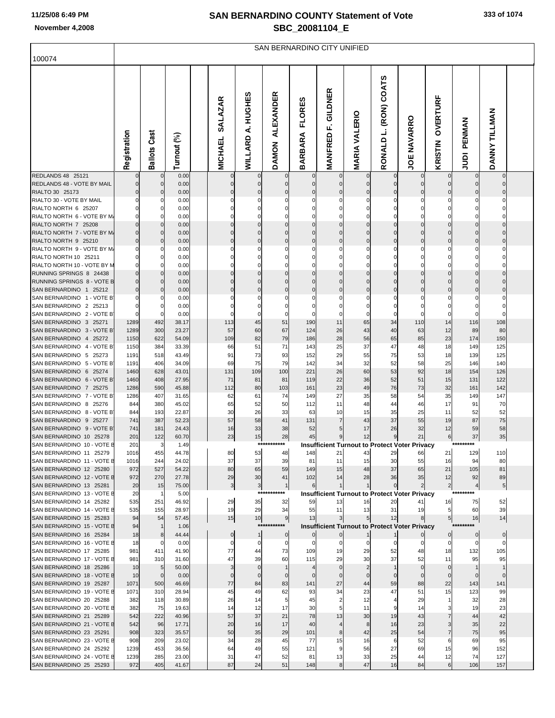| 100074                                                 | SAN BERNARDINO CITY UNIFIED |                     |                |  |                                  |                            |                                  |                                 |                              |                      |                                 |                                                            |                      |                          |                       |  |
|--------------------------------------------------------|-----------------------------|---------------------|----------------|--|----------------------------------|----------------------------|----------------------------------|---------------------------------|------------------------------|----------------------|---------------------------------|------------------------------------------------------------|----------------------|--------------------------|-----------------------|--|
|                                                        | Registration                | <b>Ballots Cast</b> | Turnout (%)    |  | <b>SALAZAR</b><br><b>MICHAEL</b> | <b>A.HUGHES</b><br>WILLARD | <b>ALEXANDER</b><br><b>DAMON</b> | <b>FLORES</b><br><b>BARBARA</b> | F. GILDNER<br><b>MANFRED</b> | <b>MARIA VALERIO</b> | <b>COATS</b><br>RONALD L. (RON) | <b>JOE NAVARRO</b>                                         | OVERTURF<br>KRISTIN  | PENMAN<br>$\overline{9}$ | DANNY TILLMAN         |  |
| REDLANDS 48 25121<br>REDLANDS 48 - VOTE BY MAIL        | $\Omega$                    | $\mathbf{0}$<br>0   | 0.00<br>0.00   |  | $\overline{0}$                   | 0                          | $\mathbf 0$                      | 0                               | $\mathbf 0$                  | $\mathbf 0$          | 0                               | $\mathbf{0}$<br>$\overline{0}$                             | $\overline{0}$       | $\overline{0}$           | $\mathbf 0$           |  |
| RIALTO 30 25173                                        |                             | 0                   | 0.00           |  | $\overline{0}$                   | 0                          | 0                                | 0                               | 0                            | 0                    | 0                               |                                                            | 0                    |                          |                       |  |
| RIALTO 30 - VOTE BY MAIL                               |                             | 0                   | 0.00           |  |                                  | 0                          | 0                                | 0                               | 0                            | C                    |                                 |                                                            |                      |                          |                       |  |
| RIALTO NORTH 6 25207                                   |                             | 0                   | 0.00           |  |                                  | 0                          | 0                                | 0                               | $\mathbf 0$                  | 0                    | 0                               | 0                                                          | 0                    |                          |                       |  |
| RIALTO NORTH 6 - VOTE BY M<br>RIALTO NORTH 7 25208     |                             | 0<br>0              | 0.00<br>0.00   |  | $\Omega$                         | 0<br>0                     | 0<br>0                           | 0<br>$\pmb{0}$                  | 0<br>$\mathbf 0$             | 0<br>$\mathbf 0$     | 0<br>0                          | $\overline{0}$                                             | $\overline{0}$       | $\mathbf 0$              |                       |  |
| RIALTO NORTH 7 - VOTE BY M.                            |                             | 0                   | 0.00           |  |                                  | 0                          | 0                                | $\mathbf 0$                     | 0                            | C                    | 0                               |                                                            | $\mathbf 0$          | 0                        |                       |  |
| RIALTO NORTH 9 25210                                   |                             | 0                   | 0.00           |  | $\mathbf 0$                      | 0                          | 0                                | $\pmb{0}$                       | $\mathbf 0$                  | $\mathbf 0$          | 0                               | $\mathbf 0$                                                | $\mathbf 0$          | $\mathbf 0$              | 0                     |  |
| RIALTO NORTH 9 - VOTE BY M                             |                             | 0                   | 0.00           |  |                                  | 0                          | 0                                | 0                               | 0                            | C                    |                                 |                                                            |                      |                          |                       |  |
| RIALTO NORTH 10 25211                                  |                             | 0                   | 0.00           |  |                                  | 0                          | 0                                | 0                               | 0                            | 0                    | 0                               | 0                                                          | 0                    |                          |                       |  |
| RIALTO NORTH 10 - VOTE BY M<br>RUNNING SPRINGS 8 24438 |                             | 0<br>0              | 0.00<br>0.00   |  | 0                                | 0                          | 0                                | $\Omega$<br>0                   | $\Omega$<br>$\pmb{0}$        | C<br>$\mathbf 0$     | 0                               | $\overline{0}$                                             | $\overline{0}$       | $\mathbf 0$              | 0                     |  |
| RUNNING SPRINGS 8 - VOTE B                             |                             | 0                   | 0.00           |  | $\Omega$                         | 0                          | 0                                | $\mathbf 0$                     | $\mathbf 0$                  | $\overline{0}$       | 0                               |                                                            | $\mathbf 0$          | $\Omega$                 | 0                     |  |
| SAN BERNARDINO 1 25212                                 |                             | 0                   | 0.00           |  | 0                                | 0                          | 0                                | $\mathbf 0$                     | $\mathbf 0$                  | $\mathbf 0$          | 0                               | 0                                                          | $\mathbf 0$          | 0                        | 0                     |  |
| SAN BERNARDINO 1 - VOTE B                              |                             | 0                   | 0.00           |  |                                  |                            |                                  | 0                               | 0                            | C                    |                                 |                                                            |                      |                          | 0                     |  |
| SAN BERNARDINO 2 25213                                 |                             | 0                   | 0.00           |  |                                  | 0                          | 0                                | 0                               | $\mathbf 0$                  | 0                    | 0                               | 0                                                          | 0                    |                          | 0                     |  |
| SAN BERNARDINO 2 - VOTE B<br>SAN BERNARDINO 3 25271    | 1289                        | $\Omega$<br>492     | 0.00<br>38.17  |  | 113                              | 0<br>45                    | 0<br>51                          | $\Omega$<br>190                 | $\mathbf 0$<br>11            | $\mathbf 0$<br>65    | 0<br>34                         | 110                                                        | 0<br>14              | 116                      | 0<br>108              |  |
| SAN BERNARDINO 3 - VOTE B                              | 1289                        | 300                 | 23.27          |  | 57                               | 60                         | 67                               | 124                             | 26                           | 43                   | 40                              | 63                                                         | 12                   | 89                       | 80                    |  |
| SAN BERNARDINO 4 25272                                 | 1150                        | 622                 | 54.09          |  | 109                              | 82                         | 79                               | 186                             | 28                           | 56                   | 65                              | 85                                                         | 23                   | 174                      | 150                   |  |
| SAN BERNARDINO 4 - VOTE B                              | 1150                        | 384                 | 33.39          |  | 66                               | 51                         | 71                               | 143                             | 25                           | 37                   | 47                              | 48                                                         | 18                   | 149                      | 125                   |  |
| SAN BERNARDINO 5 25273<br>SAN BERNARDINO 5 - VOTE B    | 1191                        | 518                 | 43.49          |  | 91<br>69                         | 73<br>75                   | 93                               | 152                             | 29<br>34                     | 55<br>32             | 75<br>52                        | 53<br>58                                                   | 18<br>25             | 139                      | 125                   |  |
| SAN BERNARDINO 6 25274                                 | 1191<br>1460                | 406<br>628          | 34.09<br>43.01 |  | 131                              | 109                        | 79<br>100                        | 142<br>221                      | 26                           | 60                   | 53                              | 92                                                         | 18                   | 146<br>154               | 140<br>126            |  |
| SAN BERNARDINO 6 - VOTE B                              | 1460                        | 408                 | 27.95          |  | 71                               | 81                         | 81                               | 119                             | 22                           | 36                   | 52                              | 51                                                         | 15                   | 131                      | 122                   |  |
| SAN BERNARDINO 7 25275                                 | 1286                        | 590                 | 45.88          |  | 112                              | 80                         | 103                              | 161                             | 23                           | 49                   | 76                              | 73                                                         | 32                   | 161                      | 142                   |  |
| SAN BERNARDINO 7 - VOTE B                              | 1286                        | 407                 | 31.65          |  | 62                               | 61                         | 74                               | 149                             | 27                           | 35                   | 58                              | 54                                                         | 35                   | 149                      | 147                   |  |
| SAN BERNARDINO 8 25276<br>SAN BERNARDINO 8 - VOTE B    | 844<br>844                  | 380<br>193          | 45.02<br>22.87 |  | 65<br>30                         | 52<br>26                   | 50<br>33                         | 112<br>63                       | 11<br>10                     | 48<br>15             | 44<br>35                        | 46<br>25                                                   | 17<br>11             | 91<br>52                 | 70<br>52              |  |
| SAN BERNARDINO 9 25277                                 | 741                         | 387                 | 52.23          |  | 57                               | 58                         | 41                               | 131                             | $\overline{7}$               | 43                   | 37                              | 55                                                         | 19                   | 87                       | 75                    |  |
| SAN BERNARDINO 9 - VOTE B                              | 741                         | 181                 | 24.43          |  | 16                               | 33                         | 38                               | 52                              | 5                            | 17                   | 26                              | 32                                                         | 12                   | 59                       | 58                    |  |
| SAN BERNARDINO 10 25278                                | 201                         | 122                 | 60.70          |  | 23                               | 15                         | 28                               | 45                              | 9                            | 12                   | 9                               | 21                                                         | 6                    | 37                       | 35                    |  |
| SAN BERNARDINO 10 - VOTE E                             | 201                         | 3                   | 1.49           |  | 80                               | 53                         | ***********                      |                                 | 21                           | 43                   |                                 | <b>Insufficient Turnout to Protect Voter Privacy</b>       | 21                   | 129                      | 110                   |  |
| SAN BERNARDINO 11 25279<br>SAN BERNARDINO 11 - VOTE E  | 1016<br>1016                | 455<br>244          | 44.78<br>24.02 |  | 37                               | 37                         | 48<br>39                         | 148<br>81                       | 11                           | 15                   | 29<br>30                        | 66<br>55                                                   | 16                   | 94                       | 80                    |  |
| SAN BERNARDINO 12 25280                                | 972                         | 527                 | 54.22          |  | 80                               | 65                         | 59                               | 149                             | 15                           | 48                   | 37                              | 65                                                         | 21                   | 105                      | 81                    |  |
| SAN BERNARDINO 12 - VOTE E                             | 972                         | 270                 | 27.78          |  | 29                               | 30                         | 41                               | 102                             | 14                           | 28                   | 36                              | 35                                                         | 12                   | 92                       | 89                    |  |
| SAN BERNARDINO 13 25281                                | 20                          | 15                  | 75.00          |  | 3 <sup>1</sup>                   | 3                          | $\mathbf{1}$                     | 6                               | $\mathbf{1}$                 | $\mathbf 1$          | $\mathbf 0$                     | $\overline{2}$                                             | $2 \vert$            | 4                        | 5 <sub>5</sub>        |  |
| SAN BERNARDINO 13 - VOTE E<br>SAN BERNARDINO 14 25282  | 20<br>535                   | $\mathbf{1}$<br>251 | 5.00<br>46.92  |  | 29                               | ***:<br>35                 | *******<br>32                    | 59                              | 13                           | 16                   | 20                              | <b>Insufficient Turnout to Protect Voter Privacy</b><br>41 |                      | 75                       | 52                    |  |
| SAN BERNARDINO 14 - VOTE E                             | 535                         | 155                 | 28.97          |  | 19                               | 29                         | 34                               | 55                              | 11                           | 13                   | 31                              | 19                                                         | 16<br>5 <sub>l</sub> | 60                       | 39                    |  |
| SAN BERNARDINO 15 25283                                | 94                          | 54                  | 57.45          |  | 15                               | 10                         | 9                                | 13                              | 3                            | 5                    | 12                              | 8                                                          | 5 <sub>1</sub>       | 16                       | 14                    |  |
| SAN BERNARDINO 15 - VOTE E                             | 94                          | 1                   | 1.06           |  |                                  | ****                       | *******                          |                                 |                              |                      |                                 | <b>Insufficient Turnout to Protect Voter Privacy</b>       |                      |                          |                       |  |
| SAN BERNARDINO 16 25284                                | 18                          | 8                   | 44.44          |  | $\overline{0}$                   | 11                         | $\mathbf 0$                      |                                 | $\mathbf 0$                  | $\mathbf{1}$         | $\mathbf{1}$                    |                                                            | $\overline{0}$       | $\overline{0}$           | $\overline{0}$        |  |
| SAN BERNARDINO 16 - VOTE E<br>SAN BERNARDINO 17 25285  | 18<br>981                   | 0<br>411            | 0.00<br>41.90  |  | $\mathbf{0}$<br>77               | $\overline{0}$<br>44       | 0<br>73                          | 0<br>109                        | $\pmb{0}$<br>19              | 0<br>29              | 0<br>52                         | $\mathbf{0}$<br>48                                         | $\mathbf{0}$<br>18   | $\overline{0}$<br>132    | $\overline{0}$<br>105 |  |
| SAN BERNARDINO 17 - VOTE E                             | 981                         | 310                 | 31.60          |  | 47                               | 39                         | 60                               | 115                             | 29                           | 30                   | 37                              | 52                                                         | 11                   | 95                       | 95                    |  |
| SAN BERNARDINO 18 25286                                | 10                          | 5                   | 50.00          |  | 3                                | $\mathbf 0$                | 1                                |                                 | $\mathbf 0$                  | $\overline{2}$       |                                 | $\Omega$                                                   | $\overline{0}$       |                          | $\mathbf{1}$          |  |
| SAN BERNARDINO 18 - VOTE E                             | 10                          | $\mathbf 0$         | 0.00           |  |                                  | $\mathbf{0}$               | $\mathbf 0$                      | $\Omega$                        | $\mathbf 0$                  | $\mathbf 0$          | $\Omega$                        | $\overline{0}$                                             | $\mathbf 0$          | $\mathbf{0}$             | $\mathbf 0$           |  |
| SAN BERNARDINO 19 25287                                | 1071                        | 500                 | 46.69          |  | 77                               | 84                         | 83                               | 141                             | 27                           | 44                   | 59                              | 88                                                         | 22                   | 143                      | 141                   |  |
| SAN BERNARDINO 19 - VOTE E<br>SAN BERNARDINO 20 25288  | 1071<br>382                 | 310<br>118          | 28.94<br>30.89 |  | 45<br>26                         | 49<br>14                   | 62<br>5                          | 93<br>45                        | 34<br>$\overline{2}$         | 23<br>12             | 47                              | 51<br>29                                                   | 15<br>1              | 123<br>32                | 99<br>28              |  |
| SAN BERNARDINO 20 - VOTE E                             | 382                         | 75                  | 19.63          |  | 14                               | 12                         | 17                               | 30                              | 5                            | 11                   | 9                               | 14                                                         | 3                    | 19                       | 23                    |  |
| SAN BERNARDINO 21 25289                                | 542                         | 222                 | 40.96          |  | 57                               | 37                         | 21                               | 78                              | 13                           | 30                   | 19                              | 43                                                         | $\overline{7}$       | 44                       | 42                    |  |
| SAN BERNARDINO 21 - VOTE E                             | 542                         | 96                  | 17.71          |  | 20                               | 16                         | 17                               | 40                              | 4                            | 8                    | 16                              | 23                                                         | 3 <sub>l</sub>       | 35                       | 22                    |  |
| SAN BERNARDINO 23 25291                                | 908                         | 323                 | 35.57          |  | 50                               | 35                         | 29                               | 101                             | 8                            | 42                   | 25                              | 54                                                         | 7                    | 75                       | 95                    |  |
| SAN BERNARDINO 23 - VOTE E<br>SAN BERNARDINO 24 25292  | 908<br>1239                 | 209<br>453          | 23.02<br>36.56 |  | 34<br>64                         | 28<br>49                   | 45<br>55                         | 77<br>121                       | 15<br>9                      | 16<br>56             | 6<br>27                         | 52<br>69                                                   | 6<br>15              | 69<br>96                 | 95<br>152             |  |
| SAN BERNARDINO 24 - VOTE E                             | 1239                        | 285                 | 23.00          |  | 31                               | 47                         | 52                               | 81                              | 13                           | 33                   | 25                              | 44                                                         | 12                   | 74                       | 127                   |  |
| SAN BERNARDINO 25 25293                                | 972                         | 405                 | 41.67          |  | 87                               | 24                         | 51                               | 148                             | 8                            | 47                   | 16                              | 84                                                         | 6                    | 106                      | 157                   |  |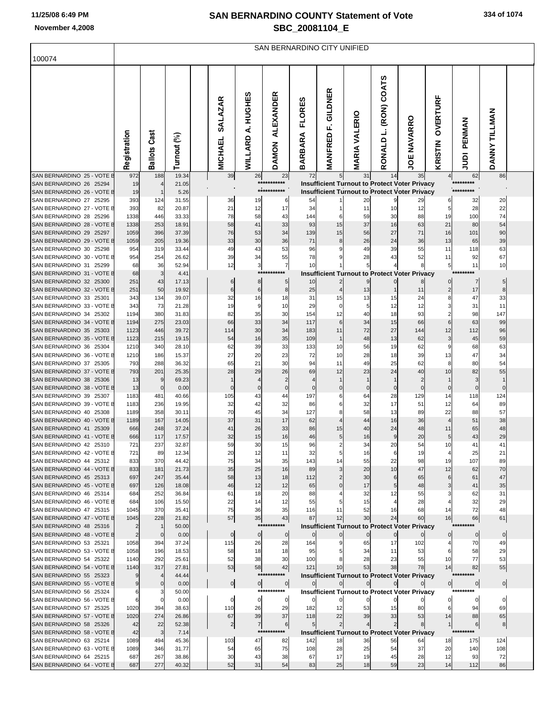|                                                       | SAN BERNARDINO CITY UNIFIED |                                |                |  |                                  |                   |                                  |                                 |                            |                      |                       |                                                                                                       |                            |                             |                |  |
|-------------------------------------------------------|-----------------------------|--------------------------------|----------------|--|----------------------------------|-------------------|----------------------------------|---------------------------------|----------------------------|----------------------|-----------------------|-------------------------------------------------------------------------------------------------------|----------------------------|-----------------------------|----------------|--|
| 100074                                                |                             |                                |                |  |                                  |                   |                                  |                                 |                            |                      |                       |                                                                                                       |                            |                             |                |  |
|                                                       | Registration                | <b>Ballots Cast</b>            | Turnout (%)    |  | <b>SALAZAR</b><br><b>MICHAEL</b> | WILLARD A. HUGHES | <b>ALEXANDER</b><br><b>DAMON</b> | <b>FLORES</b><br><b>BARBARA</b> | GILDNER<br>ц,<br>MANFRED   | <b>MARIA VALERIO</b> | RONALD L. (RON) COATS | <b>JOE NAVARRO</b>                                                                                    | <b>OVERTURF</b><br>KRISTIN | PENMAN<br>ign               | DANNY TILLMAN  |  |
| SAN BERNARDINO 25 - VOTE E                            | 972                         | 188                            | 19.34          |  | 39                               | 26                | 23<br>***********                | 72                              | 5 <sub>1</sub>             | 31                   | 14                    | 35                                                                                                    | 4                          | 62<br>*********             | 86             |  |
| SAN BERNARDINO 26 25294<br>SAN BERNARDINO 26 - VOTE B | 19<br>19                    | $\overline{4}$<br>$\mathbf{1}$ | 21.05<br>5.26  |  |                                  |                   | ***********                      |                                 |                            |                      |                       | Insufficient Turnout to Protect Voter Privacy<br><b>Insufficient Turnout to Protect Voter Privacy</b> |                            | *********                   |                |  |
| SAN BERNARDINO 27 25295                               | 393                         | 124                            | 31.55          |  | 36                               | 19                | 6                                | 54                              |                            | 20                   | 9                     | 29                                                                                                    | 6                          | 32                          | 20             |  |
| SAN BERNARDINO 27 - VOTE E                            | 393                         | 82                             | 20.87          |  | 21                               | 12                | 17                               | 34                              | 1                          | 11                   | 10                    | 12                                                                                                    | 5                          | 28                          | 22             |  |
| SAN BERNARDINO 28 25296                               | 1338                        | 446                            | 33.33          |  | 78                               | 58                | 43                               | 144                             | 6                          | 59                   | 30                    | 88                                                                                                    | 19                         | 100                         | 74             |  |
| SAN BERNARDINO 28 - VOTE E<br>SAN BERNARDINO 29 25297 | 1338<br>1059                | 253<br>396                     | 18.91<br>37.39 |  | 58<br>76                         | 41<br>53          | 33<br>34                         | 93<br>139                       | 15<br>15                   | 37<br>56             | 16<br>27              | 63<br>71                                                                                              | 21<br>16                   | 80<br>101                   | 54<br>90       |  |
| SAN BERNARDINO 29 - VOTE E                            | 1059                        | 205                            | 19.36          |  | 33                               | 30                | 36                               | 71                              | 8                          | 26                   | 24                    | 36                                                                                                    | 13                         | 65                          | 39             |  |
| SAN BERNARDINO 30 25298                               | 954                         | 319                            | 33.44          |  | 49                               | 43                | 53                               | 96                              | 9                          | 49                   | 39                    | 55                                                                                                    | 11                         | 118                         | 63             |  |
| SAN BERNARDINO 30 - VOTE B                            | 954                         | 254                            | 26.62          |  | 39                               | 34                | 55                               | 78                              | 9                          | 28                   | 43                    | 52                                                                                                    | 11                         | 92                          | 67             |  |
| SAN BERNARDINO 31 25299                               | 68                          | 36                             | 52.94          |  | 12                               | 3                 | $\overline{7}$                   | 10                              |                            | 5                    |                       | 8                                                                                                     | 5                          | 11                          | 10             |  |
| SAN BERNARDINO 31 - VOTE E<br>SAN BERNARDINO 32 25300 | 68                          | 3                              | 4.41           |  |                                  | ***               | ****                             |                                 |                            |                      |                       | <b>Insufficient Turnout to Protect Voter Privacy</b>                                                  |                            | *********                   |                |  |
| SAN BERNARDINO 32 - VOTE E                            | 251<br>251                  | 43<br>50                       | 17.13<br>19.92 |  | 6<br>6                           | 8<br>6            | $5 \mid$<br>8                    | 10<br>25                        |                            | 9<br>13              |                       | 11                                                                                                    | 0<br>$\overline{2}$        | $\overline{7}$<br>17        | $5 \mid$<br>8  |  |
| SAN BERNARDINO 33 25301                               | 343                         | 134                            | 39.07          |  | 32                               | 16                | 18                               | 31                              | 15                         | 13                   | 15                    | 24                                                                                                    | 8                          | 47                          | 33             |  |
| SAN BERNARDINO 33 - VOTE B                            | 343                         | 73                             | 21.28          |  | 19                               | 9                 | 10                               | 29                              | 0                          | 5                    | 12                    | 12                                                                                                    | 3                          | 31                          | 11             |  |
| SAN BERNARDINO 34 25302                               | 1194                        | 380                            | 31.83          |  | 82                               | 35                | 30                               | 154                             | 12                         | 40                   | 18                    | 93                                                                                                    | 2                          | 98                          | 147            |  |
| SAN BERNARDINO 34 - VOTE E                            | 1194                        | 275                            | 23.03          |  | 66                               | 33                | 34                               | 117                             | 6                          | 34                   | 15                    | 66                                                                                                    | 6                          | 63                          | 99             |  |
| SAN BERNARDINO 35 25303<br>SAN BERNARDINO 35 - VOTE B | 1123                        | 446                            | 39.72          |  | 114                              | 30                | 34                               | 183                             | 11<br>$\mathbf 1$          | 72                   | 27                    | 144                                                                                                   | 12                         | 112                         | 96             |  |
| SAN BERNARDINO 36 25304                               | 1123<br>1210                | 215<br>340                     | 19.15<br>28.10 |  | 54<br>62                         | 16<br>39          | 35<br>33                         | 109<br>133                      | 10                         | 48<br>56             | 13<br>19              | 62<br>62                                                                                              | 3<br>9                     | 45<br>68                    | 59<br>63       |  |
| SAN BERNARDINO 36 - VOTE E                            | 1210                        | 186                            | 15.37          |  | 27                               | 20                | 23                               | 72                              | 10                         | 28                   | 18                    | 39                                                                                                    | 13                         | 47                          | 34             |  |
| SAN BERNARDINO 37 25305                               | 793                         | 288                            | 36.32          |  | 65                               | 21                | 30                               | 94                              | 11                         | 49                   | 25                    | 62                                                                                                    | 8                          | 80                          | 54             |  |
| SAN BERNARDINO 37 - VOTE E                            | 793                         | 201                            | 25.35          |  | 28                               | 29                | 26                               | 69                              | 12                         | 23                   | 24                    | 40                                                                                                    | 10                         | 82                          | 55             |  |
| SAN BERNARDINO 38 25306<br>SAN BERNARDINO 38 - VOTE E | 13                          | 9<br>$\mathbf 0$               | 69.23          |  | $\Omega$                         | 0                 | 2<br>0                           | $\Omega$                        | 0                          | $\Omega$             | 0                     | 2<br>$\mathbf 0$                                                                                      | 0                          | 3<br>$\Omega$               | 1<br>$\Omega$  |  |
| SAN BERNARDINO 39 25307                               | 13<br>1183                  | 481                            | 0.00<br>40.66  |  | 105                              | 43                | 44                               | 197                             | 6                          | 64                   | 28                    | 129                                                                                                   | 14                         | 118                         | 124            |  |
| SAN BERNARDINO 39 - VOTE B                            | 1183                        | 236                            | 19.95          |  | 32                               | 42                | 32                               | 86                              | 6                          | 32                   | 17                    | 51                                                                                                    | 12                         | 64                          | 89             |  |
| SAN BERNARDINO 40 25308                               | 1189                        | 358                            | 30.11          |  | 70                               | 45                | 34                               | 127                             | 8                          | 58                   | 13                    | 89                                                                                                    | 22                         | 88                          | 57             |  |
| SAN BERNARDINO 40 - VOTE E                            | 1189                        | 167                            | 14.05          |  | 37                               | 31                | 17                               | 62                              | 4                          | 44                   | 16                    | 36                                                                                                    | 4                          | 51                          | 38             |  |
| SAN BERNARDINO 41 25309<br>SAN BERNARDINO 41 - VOTE E | 666                         | 248                            | 37.24          |  | 41                               | 26                | 33                               | 86                              | 15                         | 40                   | 24                    | 48                                                                                                    | 11                         | 65                          | 48             |  |
| SAN BERNARDINO 42 25310                               | 666<br>721                  | 117<br>237                     | 17.57<br>32.87 |  | 32<br>59                         | 15<br>30          | 16<br>15                         | 46<br>96                        | $5 \mid$<br>$\overline{2}$ | 16<br>34             | 9<br>20               | 20<br>54                                                                                              | 5<br>10                    | 43<br>41                    | 29<br>41       |  |
| SAN BERNARDINO 42 - VOTE E                            | 721                         | 89                             | 12.34          |  | 20                               | 12                | 11                               | 32                              | 5                          | 16                   | 6                     | 19                                                                                                    |                            | 25                          | 21             |  |
| SAN BERNARDINO 44 25312                               | 833                         | 370                            | 44.42          |  | 75                               | 34                | 35                               | 143                             | 14                         | 55                   | 22                    | 98                                                                                                    | 19                         | 107                         | 89             |  |
| SAN BERNARDINO 44 - VOTE E                            | 833                         | 181                            | 21.73          |  | 35                               | 25                | 16                               | 89                              | 3                          | 20                   | 10                    | 47                                                                                                    | 12                         | 62                          | 70             |  |
| SAN BERNARDINO 45 25313<br>SAN BERNARDINO 45 - VOTE E | 697<br>697                  | 247<br>126                     | 35.44<br>18.08 |  | 58<br>46                         | 13<br>12          | 18<br>12                         | 112<br>65                       | $\overline{2}$<br>$\Omega$ | 30<br>17             | 6                     | 65<br>48                                                                                              | 6<br>3                     | 61<br>41                    | 47<br>35       |  |
| SAN BERNARDINO 46 25314                               | 684                         | 252                            | 36.84          |  | 61                               | 18                | 20                               | 88                              |                            | 32                   | 5 <sub>l</sub><br>12  | 55                                                                                                    | 3                          | 62                          | 31             |  |
| SAN BERNARDINO 46 - VOTE E                            | 684                         | 106                            | 15.50          |  | 22                               | 14                | 12                               | 55                              | 5                          | 15                   | 4                     | 28                                                                                                    |                            | 32                          | 29             |  |
| SAN BERNARDINO 47 25315                               | 1045                        | 370                            | 35.41          |  | 75                               | 36                | 35                               | 116                             | 11                         | 52                   | 16                    | 68                                                                                                    | 14                         | 72                          | 48             |  |
| SAN BERNARDINO 47 - VOTE E                            | 1045                        | 228                            | 21.82          |  | 57                               | 35                | 43                               | 87                              | 12                         | 30                   | 24                    | 60                                                                                                    | 16                         | 66                          | 61             |  |
| SAN BERNARDINO 48 25316<br>SAN BERNARDINO 48 - VOTE E | 2<br>$\overline{2}$         | $\mathbf{1}$<br>$\mathbf 0$    | 50.00<br>0.00  |  | $\mathbf{0}$                     | $\overline{0}$    | ***********<br>$\overline{0}$    | $\Omega$                        | $\mathbf{0}$               | $\mathbf{0}$         | $\mathbf 0$           | <b>Insufficient Turnout to Protect Voter Privacy</b>                                                  | 0                          | *********<br>$\overline{0}$ | $\overline{0}$ |  |
| SAN BERNARDINO 53 25321                               | 1058                        | 394                            | 37.24          |  | 115                              | 26                | 28                               | 164                             | 9                          | 65                   | 17                    | 102                                                                                                   |                            | 70                          | 49             |  |
| SAN BERNARDINO 53 - VOTE E                            | 1058                        | 196                            | 18.53          |  | 58                               | 18                | 18                               | 95                              |                            | 34                   | 11                    | 53                                                                                                    | 6                          | 58                          | 29             |  |
| SAN BERNARDINO 54 25322                               | 1140                        | 292                            | 25.61          |  | 52                               | 38                | 30                               | 100                             |                            | 28                   | 23                    | 55                                                                                                    | 10                         | 77                          | 53             |  |
| SAN BERNARDINO 54 - VOTE E                            | 1140                        | 317                            | 27.81          |  | 53                               | 58                | 42<br>***********                | 121                             | 10                         | 53                   | 38                    | 78                                                                                                    | 14                         | 82<br>*********             | 55             |  |
| SAN BERNARDINO 55 25323<br>SAN BERNARDINO 55 - VOTE E | 9<br>9                      | $\mathbf 0$                    | 44.44<br>0.00  |  |                                  |                   |                                  |                                 |                            |                      |                       | <b>Insufficient Turnout to Protect Voter Privacy</b>                                                  | 이                          |                             |                |  |
| SAN BERNARDINO 56 25324                               | 6                           | 3                              | 50.00          |  | 0                                | $\overline{0}$    | $\overline{0}$<br>***********    | 0                               |                            |                      |                       | <b>Insufficient Turnout to Protect Voter Privacy</b>                                                  |                            | $\overline{0}$<br>********* | 이              |  |
| SAN BERNARDINO 56 - VOTE E                            | 6                           | $\Omega$                       | 0.00           |  | $\mathbf{0}$                     | $\overline{0}$    | $\mathbf{0}$                     | $\mathbf{0}$                    | $\mathbf 0$                |                      |                       |                                                                                                       | 0                          | 0                           | $\overline{0}$ |  |
| SAN BERNARDINO 57 25325                               | 1020                        | 394                            | 38.63          |  | 110                              | 26                | 29                               | 182                             | 12                         | 53                   | 15                    | 80                                                                                                    | 6                          | 94                          | 69             |  |
| SAN BERNARDINO 57 - VOTE E                            | 1020                        | 274                            | 26.86          |  | 67                               | 39                | 37                               | 118                             | 22                         | 39                   | 33                    | 53                                                                                                    | 14                         | 88                          | 65             |  |
| SAN BERNARDINO 58 25326                               | 42                          | 22                             | 52.38          |  | $\mathbf{2}$                     | $\overline{7}$    | 6<br>***********                 | $5 \mid$                        | $\overline{2}$             |                      | $\overline{2}$        | 8                                                                                                     | 11                         | $6 \mid$<br>*********       | 8              |  |
| SAN BERNARDINO 58 - VOTE E<br>SAN BERNARDINO 63 25214 | 42<br>1089                  | 3<br>494                       | 7.14<br>45.36  |  | 103                              | 47                | 82                               | 142                             | 18                         | 36                   | 56                    | <b>Insufficient Turnout to Protect Voter Privacy</b><br>64                                            | 18                         | 175                         | 124            |  |
| SAN BERNARDINO 63 - VOTE E                            | 1089                        | 346                            | 31.77          |  | 54                               | 65                | 75                               | 108                             | 28                         | 25                   | 54                    | 37                                                                                                    | 20                         | 140                         | 108            |  |
| SAN BERNARDINO 64 25215                               | 687                         | 267                            | 38.86          |  | 30                               | 43                | 38                               | 67                              | 17                         | 19                   | 45                    | 28                                                                                                    | 12                         | 93                          | 72             |  |
| SAN BERNARDINO 64 - VOTE E                            | 687                         | 277                            | 40.32          |  | 52                               | 31                | 54                               | 83                              | 25                         | 18                   | 59                    | 23                                                                                                    | 14                         | 112                         | 86             |  |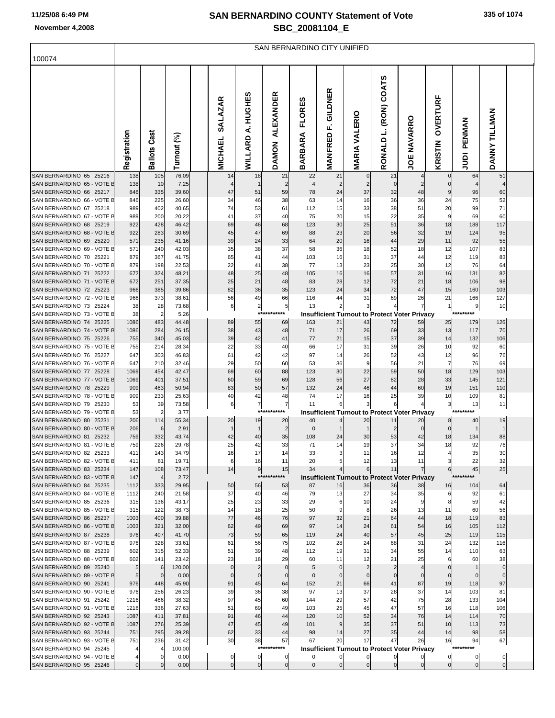SAN BERNARDINO CITY UNIFIED

| 100074                                                |                       |                       |                 |                                  |                             |                                  |                                 |                                  |                      |                                                            |                      |                     |                          |                |  |
|-------------------------------------------------------|-----------------------|-----------------------|-----------------|----------------------------------|-----------------------------|----------------------------------|---------------------------------|----------------------------------|----------------------|------------------------------------------------------------|----------------------|---------------------|--------------------------|----------------|--|
|                                                       | Registration          | Cast<br>Ballots       | Turnout (%)     | <b>SALAZAR</b><br><b>MICHAEL</b> | A. HUGHES<br><b>WILLARD</b> | <b>ALEXANDER</b><br><b>DAMON</b> | <b>FLORES</b><br><b>BARBARA</b> | GILDNER<br>цÌ,<br><b>MANFRED</b> | <b>MARIA VALERIO</b> | RONALD L. (RON) COATS                                      | <b>JOE NAVARRO</b>   | OVERTURF<br>KRISTIN | PENMAN<br>$\overline{9}$ | DANNY TILLMAN  |  |
| SAN BERNARDINO 65 25216                               | 138                   | 105                   | 76.09           | 14                               | 18                          | 21                               | 22                              | 21                               | $\overline{0}$       | 21                                                         | 4                    | $\mathbf 0$         | 64                       | 51             |  |
| SAN BERNARDINO 65 - VOTE E<br>SAN BERNARDINO 66 25217 | 138<br>846            | 10<br>335             | 7.25<br>39.60   | 47                               | 51                          | 2<br>59                          | 78                              | 2<br>24                          | $\overline{2}$<br>37 | $\mathbf 0$<br>32                                          | $\overline{2}$<br>48 | $\mathbf 0$<br>9    | 96                       | 4<br>60        |  |
| SAN BERNARDINO 66 - VOTE E                            | 846                   | 225                   | 26.60           | 34                               | 46                          | 38                               | 63                              | 14                               | 16                   | 36                                                         | 36                   | 24                  | 75                       | 52             |  |
| SAN BERNARDINO 67 25218                               | 989                   | 402                   | 40.65           | 74                               | 53                          | 61                               | 112                             | 15                               | 33                   | 38                                                         | 51                   | 20                  | 99                       | 71             |  |
| SAN BERNARDINO 67 - VOTE E                            | 989                   | 200                   | 20.22           | 41                               | 37                          | 40                               | 75                              | 20                               | 15                   | 22                                                         | 35                   | 9                   | 69                       | 60             |  |
| SAN BERNARDINO 68 25219<br>SAN BERNARDINO 68 - VOTE E | 922<br>922            | 428<br>283            | 46.42           | 69                               | 46<br>47                    | 68<br>69                         | 123                             | 30                               | 25<br>20             | 51<br>56                                                   | 36<br>32             | 18                  | 188<br>124               | 117            |  |
| SAN BERNARDINO 69 25220                               | 571                   | 235                   | 30.69<br>41.16  | 45<br>39                         | 24                          | 33                               | 88<br>64                        | 23<br>20                         | 16                   | 44                                                         | 29                   | 19<br>11            | 92                       | 95<br>55       |  |
| SAN BERNARDINO 69 - VOTE E                            | 571                   | 240                   | 42.03           | 35                               | 38                          | 37                               | 58                              | 36                               | 18                   | 52                                                         | 18                   | 12                  | 107                      | 83             |  |
| SAN BERNARDINO 70 25221                               | 879                   | 367                   | 41.75           | 65                               | 41                          | 44                               | 103                             | 16                               | 31                   | 37                                                         | 44                   | 12                  | 119                      | 83             |  |
| SAN BERNARDINO 70 - VOTE E                            | 879                   | 198                   | 22.53           | 22                               | 41                          | 38                               | 77                              | 13                               | 23                   | 25                                                         | 30                   | 12                  | 76                       | 64             |  |
| SAN BERNARDINO 71 25222<br>SAN BERNARDINO 71 - VOTE E | 672<br>672            | 324<br>251            | 48.21           | 48<br>25                         | 25<br>21                    | 48                               | 105<br>83                       | 16<br>28                         | 16<br>12             | 57<br>72                                                   | 31<br>21             | 16                  | 131<br>106               | 82<br>98       |  |
| SAN BERNARDINO 72 25223                               | 966                   | 385                   | 37.35<br>39.86  | 82                               | 36                          | 48<br>35                         | 123                             | 24                               | 34                   | 72                                                         | 47                   | 18<br>15            | 160                      | 103            |  |
| SAN BERNARDINO 72 - VOTE E                            | 966                   | 373                   | 38.61           | 56                               | 49                          | 66                               | 116                             | 44                               | 31                   | 69                                                         | 26                   | 21                  | 166                      | 127            |  |
| SAN BERNARDINO 73 25224                               | 38                    | 28                    | 73.68           | 6                                | $\overline{2}$              | $5 \frac{1}{2}$                  | 13                              | $\overline{\mathbf{c}}$          | 3                    | 4                                                          | 7                    | $\mathbf{1}$        | 9                        | 10             |  |
| SAN BERNARDINO 73 - VOTE E                            | 38                    | $\overline{2}$        | 5.26            |                                  | ***                         |                                  |                                 |                                  |                      | <b>Insufficient Turnout to Protect Voter Privacy</b>       |                      |                     | ****                     |                |  |
| SAN BERNARDINO 74 25225<br>SAN BERNARDINO 74 - VOTE E | 1086<br>1086          | 483<br>284            | 44.48<br>26.15  | 89<br>38                         | 55<br>43                    | 69<br>48                         | 163<br>71                       | 21<br>17                         | 43<br>26             | 72<br>69                                                   | 59<br>33             | 25<br>13            | 179<br>117               | 126<br>70      |  |
| SAN BERNARDINO 75 25226                               | 755                   | 340                   | 45.03           | 39                               | 42                          | 41                               | 77                              | 21                               | 15                   | 37                                                         | 39                   | 14                  | 132                      | 106            |  |
| SAN BERNARDINO 75 - VOTE E                            | 755                   | 214                   | 28.34           | 22                               | 33                          | 40                               | 66                              | 17                               | 31                   | 39                                                         | 26                   | 10                  | 92                       | 60             |  |
| SAN BERNARDINO 76 25227                               | 647                   | 303                   | 46.83           | 61                               | 42                          | 42                               | 97                              | 14                               | 26                   | 52                                                         | 43                   | 12                  | 96                       | 76             |  |
| SAN BERNARDINO 76 - VOTE E                            | 647                   | 210                   | 32.46           | 29                               | 50                          | 60                               | 53                              | 36                               | 9                    | 56                                                         | 21                   | 7                   | 76                       | 69             |  |
| SAN BERNARDINO 77 25228<br>SAN BERNARDINO 77 - VOTE E | 1069<br>1069          | 454<br>401            | 42.47<br>37.51  | 69<br>60                         | 60<br>59                    | 88<br>69                         | 123<br>128                      | 30<br>56                         | 22<br>27             | 59<br>82                                                   | 50<br>28             | 18<br>33            | 129<br>145               | 103<br>121     |  |
| SAN BERNARDINO 78 25229                               | 909                   | 463                   | 50.94           | 83                               | 50                          | 57                               | 132                             | 24                               | 46                   | 44                                                         | 60                   | 19                  | 151                      | 110            |  |
| SAN BERNARDINO 78 - VOTE E                            | 909                   | 233                   | 25.63           | 40                               | 42                          | 48                               | 74                              | 17                               | 16                   | 25                                                         | 39                   | 10                  | 109                      | 81             |  |
| SAN BERNARDINO 79 25230                               | 53                    | 39                    | 73.58           | 6                                | 7                           | 7                                | 11                              | 6                                | 3                    | 6                                                          |                      | 3                   | 13                       | 11             |  |
| SAN BERNARDINO 79 - VOTE E<br>SAN BERNARDINO 80 25231 | 53<br>206             | $\overline{2}$<br>114 | 3.77<br>55.34   | 20                               | 19                          | *******<br>****<br>20            | 40                              | $\overline{4}$                   | 20                   | <b>Insufficient Turnout to Protect Voter Privacy</b><br>11 | 20                   | 8                   | *********<br>40          | 19             |  |
| SAN BERNARDINO 80 - VOTE E                            | 206                   | 6                     | 2.91            |                                  |                             | $\overline{2}$                   | $\Omega$                        | 1                                |                      | $\overline{2}$                                             | $\mathbf 0$          | $\mathbf 0$         | -1                       | $\mathbf{1}$   |  |
| SAN BERNARDINO 81 25232                               | 759                   | 332                   | 43.74           | 42                               | 40                          | 35                               | 108                             | 24                               | 30                   | 53                                                         | 42                   | 18                  | 134                      | 88             |  |
| SAN BERNARDINO 81 - VOTE E                            | 759                   | 226                   | 29.78           | 25                               | 42                          | 33                               | 71                              | 14                               | 19                   | 37                                                         | 34                   | 18                  | 92                       | 76             |  |
| SAN BERNARDINO 82 25233                               | 411                   | 143                   | 34.79           | 16                               | 17                          | 14                               | 33                              | 3                                | 11                   | 16                                                         | 12                   | 4                   | 35                       | 30             |  |
| SAN BERNARDINO 82 - VOTE E<br>SAN BERNARDINO 83 25234 | 411<br>147            | 81<br>108             | 19.71<br>73.47  | 14                               | 16<br>9                     | 11<br>15                         | 20<br>34                        |                                  | 6                    | 11                                                         | $\overline{7}$       | 6                   | 22<br>45                 | 32<br>25       |  |
| SAN BERNARDINO 83 - VOTE B                            | 147                   | $\overline{4}$        | 2.72            |                                  |                             | ***********                      |                                 |                                  |                      | <b>Insufficient Turnout to Protect Voter Privacy</b>       |                      |                     | *********                |                |  |
| SAN BERNARDINO 84 25235                               | 1112                  | 333                   | 29.95           | 50                               | 56                          | 53                               | 87                              | 16                               | 36                   | 36                                                         | 38                   | 16                  | 104                      | 64             |  |
| SAN BERNARDINO 84 - VOTE B                            | 1112                  | 240                   | 21.58           | 37                               | 40                          | 46                               | 79                              | 13                               | 27                   | 34                                                         | 35                   | 6                   | 92                       | 61             |  |
| SAN BERNARDINO 85 25236<br>SAN BERNARDINO 85 - VOTE B | 315<br>315            | 136<br>122            | 43.17<br>38.73  | 25<br>14                         | 23<br>18                    | 33<br>25                         | 29<br>50                        | 6<br>9                           | 10<br>8              | 24<br>26                                                   | 9<br>13              | 8<br>11             | 59<br>60                 | 42<br>56       |  |
| SAN BERNARDINO 86 25237                               | 1003                  | 400                   | 39.88           | 77                               | 46                          | 76                               | 97                              | 32                               | 21                   | 64                                                         | 44                   | 18                  | 119                      | 83             |  |
| SAN BERNARDINO 86 - VOTE E                            | 1003                  | 321                   | 32.00           | 62                               | 49                          | 69                               | 97                              | 14                               | 24                   | 61                                                         | 54                   | 16                  | 105                      | 112            |  |
| SAN BERNARDINO 87 25238                               | 976                   | 407                   | 41.70           | 73                               | 59                          | 65                               | 119                             | 24                               | 40                   | 57                                                         | 45                   | 25                  | 119                      | 115            |  |
| SAN BERNARDINO 87 - VOTE B<br>SAN BERNARDINO 88 25239 | 976<br>602            | 328<br>315            | 33.61<br>52.33  | 61<br>51                         | 56<br>39                    | 75<br>48                         | 102<br>112                      | 28<br>19                         | 24<br>31             | 68<br>34                                                   | 31<br>55             | 24<br>14            | 132<br>110               | 116<br>63      |  |
| SAN BERNARDINO 88 - VOTE B                            | 602                   | 141                   | 23.42           | 23                               | 18                          | 29                               | 60                              | 11                               | 12                   | 21                                                         | 25                   | 6                   | 60                       | 38             |  |
| SAN BERNARDINO 89 25240                               | 5                     | 6                     | 120.00          | $\Omega$                         | 2                           | $\mathbf 0$                      | 5                               | $\Omega$                         | $\overline{2}$       | $\overline{2}$                                             | $\overline{A}$       | $\Omega$            |                          | $\mathbf 0$    |  |
| SAN BERNARDINO 89 - VOTE E                            | 5 <sub>5</sub>        | $\overline{0}$        | 0.00            | $\Omega$                         | $\overline{0}$              | $\mathbf 0$                      | $\Omega$                        | $\Omega$                         | $\mathbf{0}$         | $\mathbf 0$                                                | $\mathbf 0$          | $\mathbf 0$         | $\Omega$                 | $\mathbf 0$    |  |
| SAN BERNARDINO 90 25241                               | 976                   | 448                   | 45.90           | 91                               | 45                          | 64                               | 152                             | 21                               | 66                   | 41                                                         | 87                   | 19                  | 118                      | 97             |  |
| SAN BERNARDINO 90 - VOTE B<br>SAN BERNARDINO 91 25242 | 976<br>1216           | 256<br>466            | 26.23<br>38.32  | 39<br>97                         | 36<br>45                    | 38<br>60                         | 97<br>144                       | 13<br>29                         | 37<br>57             | 28<br>42                                                   | 37<br>75             | 14<br>28            | 103<br>133               | 81<br>104      |  |
| SAN BERNARDINO 91 - VOTE B                            | 1216                  | 336                   | 27.63           | 51                               | 69                          | 49                               | 103                             | 25                               | 45                   | 47                                                         | 57                   | 16                  | 118                      | 106            |  |
| SAN BERNARDINO 92 25243                               | 1087                  | 411                   | 37.81           | 91                               | 46                          | 44                               | 120                             | 10                               | 52                   | 34                                                         | 76                   | 14                  | 114                      | 70             |  |
| SAN BERNARDINO 92 - VOTE E                            | 1087                  | 276                   | 25.39           | 47                               | 45                          | 49                               | 101                             | 9                                | 35                   | 37                                                         | 51                   | 10                  | 113                      | 73             |  |
| SAN BERNARDINO 93 25244                               | 751                   | 295                   | 39.28           | 62                               | 33                          | 44                               | 98                              | 14                               | 27                   | 35                                                         | 44                   | 14                  | 98                       | 58             |  |
| SAN BERNARDINO 93 - VOTE E<br>SAN BERNARDINO 94 25245 | 751<br>$\overline{4}$ | 236<br>4              | 31.42<br>100.00 | 30                               | 38<br>****                  | 57<br>*******                    | 67                              | 20                               | 17                   | 47<br><b>Insufficient Turnout to Protect Voter Privacy</b> | 26                   | 16                  | 94<br>****               | 67             |  |
| SAN BERNARDINO 94 - VOTE E                            |                       | $\overline{0}$        | 0.00            | 0                                | $\overline{0}$              | 0                                | 0                               | 0                                | 0                    | $\mathbf{0}$                                               | $\mathbf{0}$         | $\circ$             | $\circ$                  | $\overline{0}$ |  |
| SAN BERNARDINO 95 25246                               | $\mathbf 0$           | $\overline{0}$        | 0.00            |                                  | $\overline{0}$              |                                  |                                 | $\Omega$                         | $\Omega$             | $\mathbf 0$                                                | $\mathbf 0$          | $\mathbf 0$         | $\mathbf 0$              | $\Omega$       |  |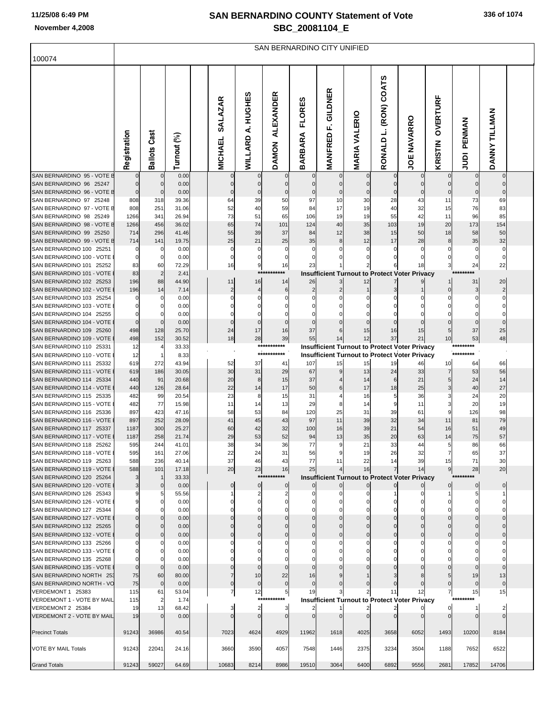SAN BERNARDINO CITY UNIFIED

| 100074                                                |                            |                            |                |                                  |                             |                                  |                                 |                                                      |                      |                       |                    |                     |                            |                  |  |
|-------------------------------------------------------|----------------------------|----------------------------|----------------|----------------------------------|-----------------------------|----------------------------------|---------------------------------|------------------------------------------------------|----------------------|-----------------------|--------------------|---------------------|----------------------------|------------------|--|
|                                                       | Registration               | Cast<br><b>Ballots</b>     | Turnout (%)    | <b>SALAZAR</b><br><b>MICHAEL</b> | A. HUGHES<br><b>WILLARD</b> | <b>ALEXANDER</b><br><b>DAMON</b> | <b>FLORES</b><br><b>BARBARA</b> | GILDNER<br>Ľ,<br><b>MANFRED</b>                      | <b>MARIA VALERIO</b> | RONALD L. (RON) COATS | <b>JOE NAVARRO</b> | OVERTURF<br>KRISTIN | PENMAN<br><b>AUDI</b>      | DANNY TILLMAN    |  |
| SAN BERNARDINO 95 - VOTE E                            |                            | $\pmb{0}$                  | 0.00           | $\mathbf 0$                      | $\mathbf 0$                 | $\Omega$                         | $\mathbf 0$                     | $\Omega$                                             |                      | $\mathbf 0$           |                    |                     | $\Omega$                   |                  |  |
| SAN BERNARDINO 96 25247<br>SAN BERNARDINO 96 - VOTE E | $\mathbf 0$<br>$\mathbf 0$ | $\mathbf 0$<br>$\mathbf 0$ | 0.00<br>0.00   | $\mathbf 0$<br>$\mathbf{0}$      | $\mathbf 0$<br>$\Omega$     | $\Omega$<br>$\Omega$             | $\mathbf 0$<br>$\Omega$         | $\mathbf{0}$                                         |                      | $\overline{0}$        | $\mathbf{0}$       |                     | $\overline{0}$<br>$\Omega$ | $\Omega$         |  |
| SAN BERNARDINO 97 25248                               | 808                        | 318                        | 39.36          | 64                               | 39                          | 50                               | 97                              | 10                                                   | 30                   | 28                    | 43                 | 11                  | 73                         | 69               |  |
| SAN BERNARDINO 97 - VOTE E                            | 808                        | 251                        | 31.06          | 52                               | 40                          | 59                               | 84                              | 17                                                   | 19                   | 40                    | 32                 | 15                  | 76                         | 83               |  |
| SAN BERNARDINO 98 25249                               | 1266                       | 341                        | 26.94          | 73                               | 51                          | 65                               | 106                             | 19                                                   | 19                   | 55                    | 42                 | 11                  | 96                         | 85               |  |
| SAN BERNARDINO 98 - VOTE E                            | 1266                       | 456                        | 36.02          | 65                               | 74                          | 101                              | 124                             | 40                                                   | 35                   | 103                   | 19                 | 20                  | 173                        | 154              |  |
| SAN BERNARDINO 99 25250                               | 714                        | 296                        | 41.46          | 55                               | 39                          | 37                               | 84                              | 12                                                   | 38                   | 15                    | 50                 | 18                  | 58                         | 50               |  |
| SAN BERNARDINO 99 - VOTE E                            | 714<br>0                   | 141                        | 19.75          | 25                               | 21<br>0                     | 25<br>C                          | 35<br>$\mathbf 0$               | 8                                                    | 12                   | 17                    | 28<br>$\Omega$     | 8                   | 35                         | 32               |  |
| SAN BERNARDINO 100 25251<br>SAN BERNARDINO 100 - VOTE | $\mathbf 0$                | 0<br>$\mathbf 0$           | 0.00<br>0.00   | 0<br>$\mathbf 0$                 | 0                           | $\mathbf 0$                      | 0                               |                                                      |                      |                       | $\Omega$           |                     | 0<br>$\mathbf{0}$          | 0<br>$\mathbf 0$ |  |
| SAN BERNARDINO 101 25252                              | 83                         | 60                         | 72.29          | 16                               | 9                           | 16                               | 23                              |                                                      |                      |                       | 18                 |                     | 24                         | 22               |  |
| SAN BERNARDINO 101 - VOTE                             | 83                         | $\overline{2}$             | 2.41           |                                  | $***$                       | ***                              |                                 | <b>Insufficient Turnout to Protect Voter Privacy</b> |                      |                       |                    |                     | *********                  |                  |  |
| SAN BERNARDINO 102 25253                              | 196                        | 88                         | 44.90          | 11                               | 16                          | 14                               | 26                              |                                                      | 12                   |                       |                    |                     | 31                         | 20               |  |
| SAN BERNARDINO 102 - VOTE                             | 196                        | 14                         | 7.14           | $\overline{2}$                   |                             | 6                                |                                 |                                                      |                      |                       |                    | $\Omega$            | $\overline{\mathbf{3}}$    |                  |  |
| SAN BERNARDINO 103 25254                              |                            | $\mathbf 0$                | 0.00           | 0                                | 0                           |                                  | 0                               |                                                      |                      |                       |                    |                     | 0                          | 0                |  |
| SAN BERNARDINO 103 - VOTE                             |                            | $\mathbf 0$                | 0.00           | $\mathbf 0$                      |                             |                                  |                                 |                                                      |                      |                       |                    |                     | 0                          | $\Omega$         |  |
| SAN BERNARDINO 104 25255                              | 0                          | $\mathbf 0$                | 0.00           | $\mathbf 0$                      | 0                           |                                  |                                 |                                                      |                      |                       |                    |                     | 0                          | 0                |  |
| SAN BERNARDINO 104 - VOTE                             | $\mathbf 0$                | $\mathbf 0$<br>128         | 0.00           | $\mathbf 0$                      | $\mathbf{0}$<br>17          | $\Omega$                         | $\Omega$<br>37                  |                                                      |                      |                       |                    | 5                   | $\Omega$                   | $\Omega$         |  |
| SAN BERNARDINO 109 25260<br>SAN BERNARDINO 109 - VOTE | 498<br>498                 | 152                        | 25.70<br>30.52 | 24<br>18                         | 28                          | 16<br>39                         | 55                              | 14                                                   | 15<br>12             | 16<br>37              | 15<br>21           | 10                  | 37<br>53                   | 25<br>48         |  |
| SAN BERNARDINO 110 25331                              | 12                         | $\overline{4}$             | 33.33          |                                  |                             | ***********                      |                                 | <b>Insufficient Turnout to Protect Voter Privacy</b> |                      |                       |                    |                     | *********                  |                  |  |
| SAN BERNARDINO 110 - VOTE                             | 12                         | $\overline{1}$             | 8.33           |                                  |                             | ***********                      |                                 | <b>Insufficient Turnout to Protect Voter Privacy</b> |                      |                       |                    |                     | *********                  |                  |  |
| SAN BERNARDINO 111 25332                              | 619                        | 272                        | 43.94          | 52                               | 37                          | 41                               | 107                             | 15                                                   | 15                   | 19                    | 46                 | 10                  | 64                         | 66               |  |
| SAN BERNARDINO 111 - VOTE                             | 619                        | 186                        | 30.05          | 30                               | 31                          | 29                               | 67                              |                                                      | 13                   | 24                    | 33                 | 7                   | 53                         | 56               |  |
| SAN BERNARDINO 114 25334                              | 440                        | 91                         | 20.68          | 20                               | 8                           | 15                               | 37                              |                                                      | 14                   | $6 \mid$              | 21                 | 5                   | 24                         | 14               |  |
| SAN BERNARDINO 114 - VOTE                             | 440                        | 126                        | 28.64          | 22                               | 14                          | 17                               | 50                              | 6                                                    | 17                   | 18                    | 25                 | 3                   | 40                         | 27               |  |
| SAN BERNARDINO 115 25335                              | 482                        | 99                         | 20.54          | 23                               | 8                           | 15                               | 31                              |                                                      | 16                   | 5                     | 36                 |                     | 24                         | 20               |  |
| SAN BERNARDINO 115 - VOTE<br>SAN BERNARDINO 116 25336 | 482<br>897                 | 77<br>423                  | 15.98<br>47.16 | 11<br>58                         | 14<br>53                    | 13<br>84                         | 29<br>120                       | 8<br>25                                              | 14<br>31             | 9<br>39               | 11<br>61           | 9                   | 20<br>126                  | 19<br>98         |  |
| SAN BERNARDINO 116 - VOTE                             | 897                        | 252                        | 28.09          | 41                               | 45                          | 43                               | 97                              | 11                                                   | 39                   | 32                    | 34                 | 11                  | 81                         | 79               |  |
| SAN BERNARDINO 117 25337                              | 1187                       | 300                        | 25.27          | 60                               | 42                          | 32                               | 100                             | 16                                                   | 39                   | 21                    | 54                 | 16                  | 51                         | 49               |  |
| SAN BERNARDINO 117 - VOTE                             | 1187                       | 258                        | 21.74          | 29                               | 53                          | 52                               | 94                              | 13                                                   | 35                   | 20                    | 63                 | 14                  | 75                         | 57               |  |
| SAN BERNARDINO 118 25262                              | 595                        | 244                        | 41.01          | 38                               | 34                          | 36                               | 77                              | 9                                                    | 21                   | 33                    | 44                 | 5                   | 86                         | 66               |  |
| SAN BERNARDINO 118 - VOTE                             | 595                        | 161                        | 27.06          | 22                               | 24                          | 31                               | 56                              | 9                                                    | 19                   | 26                    | 32                 | 7                   | 65                         | 37               |  |
| SAN BERNARDINO 119 25263                              | 588                        | 236                        | 40.14          | 37                               |                             |                                  | 77                              | 11                                                   | 22                   |                       | 39                 | 15                  | 71                         |                  |  |
| SAN BERNARDINO 119 - VOTE                             | 588                        | 101                        | 17.18          | 20                               | 23                          | 16<br>***********                | 25                              |                                                      | 16                   |                       | 14                 | 9                   | 28                         | 20               |  |
| SAN BERNARDINO 120 25264<br>SAN BERNARDINO 120 - VOTE |                            | -1                         | 33.33          |                                  |                             |                                  |                                 | <b>Insufficient Turnout to Protect Voter Privacy</b> |                      |                       |                    |                     | *********<br>$\Omega$      |                  |  |
| SAN BERNARDINO 126 25343                              |                            | $\mathbf 0$<br>5           | 0.00<br>55.56  | $\mathbf{0}$                     | $\mathbf 0$                 | $\Omega$                         |                                 |                                                      |                      |                       |                    |                     | 5                          | $\mathbf 0$      |  |
| SAN BERNARDINO 126 - VOTE                             |                            | $\Omega$                   | 0.00           | $\Omega$                         |                             |                                  |                                 |                                                      |                      |                       |                    |                     | 0                          |                  |  |
| SAN BERNARDINO 127 25344                              |                            | $\Omega$                   | 0.00           |                                  |                             |                                  |                                 |                                                      |                      |                       |                    |                     |                            |                  |  |
| SAN BERNARDINO 127 - VOTE                             |                            | $\Omega$                   | 0.00           | $\Omega$                         |                             |                                  |                                 |                                                      |                      |                       |                    |                     | 0                          |                  |  |
| SAN BERNARDINO 132 25265                              |                            | $\Omega$                   | 0.00           |                                  |                             |                                  |                                 |                                                      |                      |                       |                    |                     | 0                          |                  |  |
| SAN BERNARDINO 132 - VOTE                             |                            | $\Omega$                   | 0.00           | $\Omega$                         |                             |                                  |                                 |                                                      |                      |                       |                    |                     | $\Omega$                   | $\Omega$         |  |
| SAN BERNARDINO 133 25266                              |                            | C                          | 0.00           | $\Omega$                         |                             |                                  |                                 |                                                      |                      |                       |                    |                     | 0                          |                  |  |
| SAN BERNARDINO 133 - VOTE<br>SAN BERNARDINO 135 25268 |                            | $\mathsf{C}$<br>0          | 0.00<br>0.00   |                                  |                             |                                  |                                 |                                                      |                      |                       |                    |                     |                            |                  |  |
| SAN BERNARDINO 135 - VOTE                             | $\Omega$                   | $\Omega$                   | 0.00           | $\Omega$                         |                             |                                  |                                 |                                                      |                      |                       |                    |                     | $\Omega$                   | $\Omega$         |  |
| SAN BERNARDINO NORTH 25.                              | 75                         | 60                         | 80.00          |                                  | 10                          | 22                               | 16                              |                                                      |                      |                       |                    |                     | 19                         | 13               |  |
| SAN BERNARDINO NORTH - VC                             | 75                         | $\mathbf 0$                | 0.00           | $\mathbf 0$                      | $\Omega$                    |                                  | $\Omega$                        |                                                      |                      |                       | $\Omega$           |                     | $\Omega$                   | $\mathbf{0}$     |  |
| VERDEMONT 1 25383                                     | 115                        | 61                         | 53.04          | 7                                | 12                          | 5                                | 19                              |                                                      |                      | 11                    | 12                 | 7                   | 15                         | 15               |  |
| VERDEMONT 1 - VOTE BY MAIL                            | 115                        | 2                          | 1.74           |                                  | $***$                       | *****                            |                                 | <b>Insufficient Turnout to Protect Voter Privacy</b> |                      |                       |                    |                     | *********                  |                  |  |
| VERDEMONT 2 25384                                     | 19                         | 13                         | 68.42          | 3                                | $\overline{2}$              |                                  |                                 |                                                      |                      |                       |                    |                     |                            |                  |  |
| VERDEMONT 2 - VOTE BY MAIL                            | 19                         |                            | 0.00           | $\mathbf{0}$                     | $\Omega$                    | $\mathsf{C}$                     | $\mathsf{C}$                    |                                                      |                      |                       |                    |                     | $\Omega$                   | $\Omega$         |  |
|                                                       |                            |                            |                |                                  |                             |                                  |                                 |                                                      |                      |                       |                    |                     |                            |                  |  |
| <b>Precinct Totals</b>                                | 91243                      | 36986                      | 40.54          | 7023                             | 4624                        | 4929                             | 11962                           | 1618                                                 | 4025                 | 3658                  | 6052               | 1493                | 10200                      | 8184             |  |
| VOTE BY MAIL Totals                                   | 91243                      | 22041                      | 24.16          | 3660                             | 3590                        | 4057                             | 7548                            | 1446                                                 | 2375                 | 3234                  | 3504               | 1188                | 7652                       | 6522             |  |
|                                                       |                            |                            |                |                                  |                             |                                  |                                 |                                                      |                      |                       |                    |                     |                            |                  |  |
| <b>Grand Totals</b>                                   | 91243                      | 59027                      | 64.69          | 10683                            | 8214                        | 8986                             | 19510                           | 3064                                                 | 6400                 | 6892                  | 9556               | 2681                | 17852                      | 14706            |  |